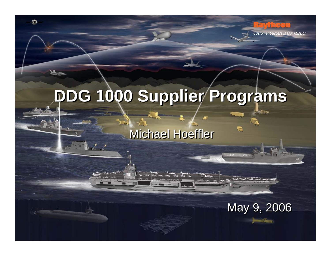# **DDG 1000 Supplier Programs DDG 1000 Supplier Programs**

 $\bullet$ 

**Michael Hoeffler** 



71 TEO

**Customer Success Is Our Mission**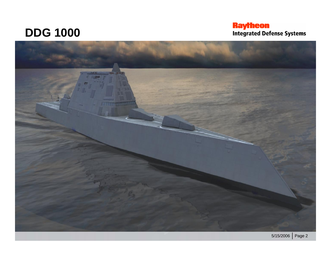### **DDG 1000**

## **Raytheon**<br>Integrated Defense Systems

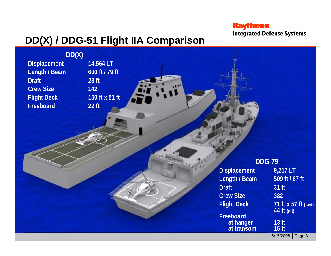#### **Raytheon Integrated Defense Systems**

### **DD(X) / DDG-51 Flight IIA Comparison**

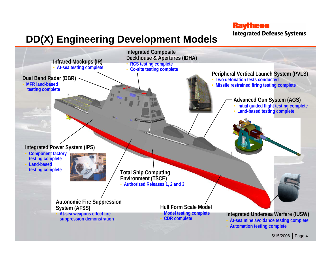**Raytheon Integrated Defense Systems** 

### **DD(X) Engineering Development Models**

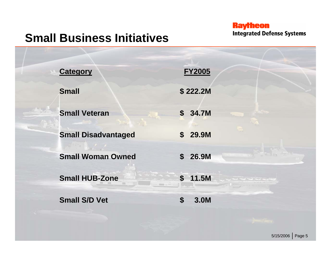## **Raytheon**<br>Integrated Defense Systems

### **Small Business Initiatives**

| <b>Category</b>            | <b>FY2005</b>                     |
|----------------------------|-----------------------------------|
| <b>Small</b>               | \$222.2M                          |
| <b>Small Veteran</b>       | \$34.7M                           |
| <b>Small Disadvantaged</b> | 29.9M<br>$\mathbf{s}$             |
| <b>Small Woman Owned</b>   | stat town<br>\$26.9M              |
| <b>Small HUB-Zone</b>      | $\boldsymbol{s}$<br>11.5M         |
| <b>Small S/D Vet</b>       | $\boldsymbol{\mathsf{S}}$<br>3.0M |
|                            |                                   |

5/15/2006 | Page 5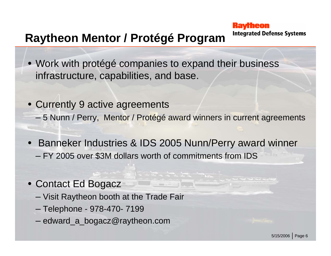#### **Kavrheon Integrated Defense Systems**

### **Raytheon Mentor / Protégé Program**

- Work with protégé companies to expand their business infrastructure, capabilities, and base.
- Currently 9 active agreements – 5 Nunn / Perry, Mentor / Protégé award winners in current agreements
- • Banneker Industries & IDS 2005 Nunn/Perry award winner – FY 2005 over \$3M dollars worth of commitments from IDS
- Contact Ed Bogacz
	- Visit Raytheon booth at the Trade Fair
	- Telephone 978-470- 7199
	- edward\_a\_bogacz@raytheon.com